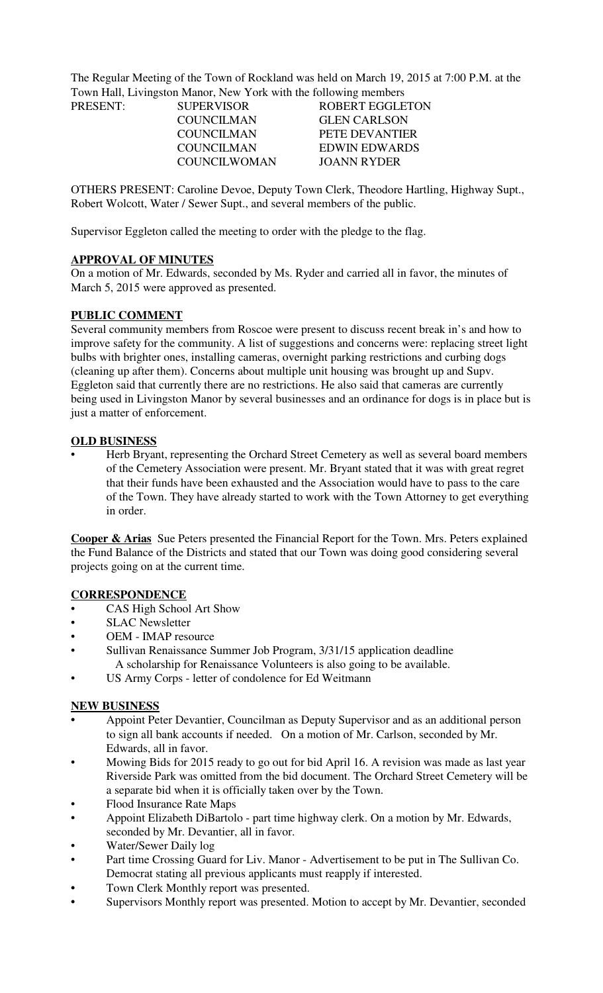The Regular Meeting of the Town of Rockland was held on March 19, 2015 at 7:00 P.M. at the Town Hall, Livingston Manor, New York with the following members

| PRESENT: | <b>SUPERVISOR</b>   | <b>ROBERT EGGLETON</b> |
|----------|---------------------|------------------------|
|          | COUNCILMAN          | <b>GLEN CARLSON</b>    |
|          | COUNCILMAN          | PETE DEVANTIER         |
|          | COUNCILMAN          | EDWIN EDWARDS          |
|          | <b>COUNCILWOMAN</b> | JOANN RYDER            |

OTHERS PRESENT: Caroline Devoe, Deputy Town Clerk, Theodore Hartling, Highway Supt., Robert Wolcott, Water / Sewer Supt., and several members of the public.

Supervisor Eggleton called the meeting to order with the pledge to the flag.

### **APPROVAL OF MINUTES**

On a motion of Mr. Edwards, seconded by Ms. Ryder and carried all in favor, the minutes of March 5, 2015 were approved as presented.

### **PUBLIC COMMENT**

Several community members from Roscoe were present to discuss recent break in's and how to improve safety for the community. A list of suggestions and concerns were: replacing street light bulbs with brighter ones, installing cameras, overnight parking restrictions and curbing dogs (cleaning up after them). Concerns about multiple unit housing was brought up and Supv. Eggleton said that currently there are no restrictions. He also said that cameras are currently being used in Livingston Manor by several businesses and an ordinance for dogs is in place but is just a matter of enforcement.

### **OLD BUSINESS**

• Herb Bryant, representing the Orchard Street Cemetery as well as several board members of the Cemetery Association were present. Mr. Bryant stated that it was with great regret that their funds have been exhausted and the Association would have to pass to the care of the Town. They have already started to work with the Town Attorney to get everything in order.

**Cooper & Arias** Sue Peters presented the Financial Report for the Town. Mrs. Peters explained the Fund Balance of the Districts and stated that our Town was doing good considering several projects going on at the current time.

## **CORRESPONDENCE**

- CAS High School Art Show
- **SLAC Newsletter**
- OEM IMAP resource
- Sullivan Renaissance Summer Job Program, 3/31/15 application deadline A scholarship for Renaissance Volunteers is also going to be available.
- US Army Corps letter of condolence for Ed Weitmann

#### **NEW BUSINESS**

- **•** Appoint Peter Devantier, Councilman as Deputy Supervisor and as an additional person to sign all bank accounts if needed. On a motion of Mr. Carlson, seconded by Mr. Edwards, all in favor.
- Mowing Bids for 2015 ready to go out for bid April 16. A revision was made as last year Riverside Park was omitted from the bid document. The Orchard Street Cemetery will be a separate bid when it is officially taken over by the Town.
- Flood Insurance Rate Maps
- Appoint Elizabeth DiBartolo part time highway clerk. On a motion by Mr. Edwards, seconded by Mr. Devantier, all in favor.
- Water/Sewer Daily log
- Part time Crossing Guard for Liv. Manor Advertisement to be put in The Sullivan Co. Democrat stating all previous applicants must reapply if interested.
- **•** Town Clerk Monthly report was presented.
- **•** Supervisors Monthly report was presented. Motion to accept by Mr. Devantier, seconded